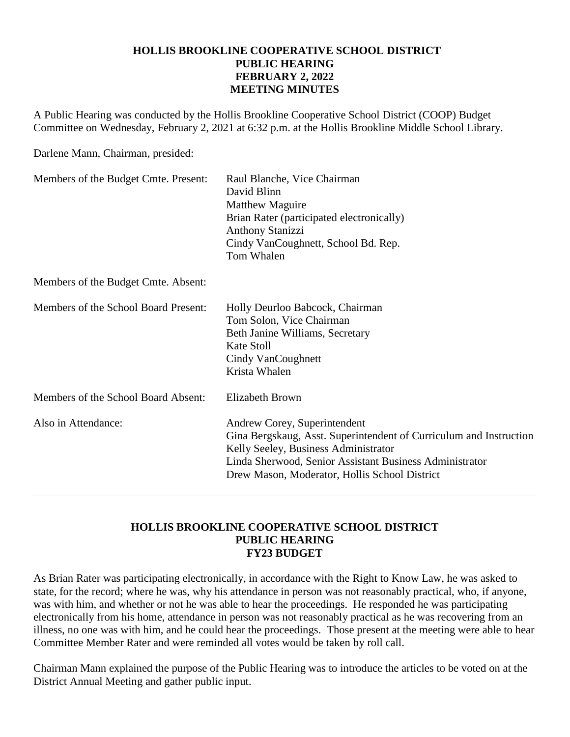### **HOLLIS BROOKLINE COOPERATIVE SCHOOL DISTRICT PUBLIC HEARING FEBRUARY 2, 2022 MEETING MINUTES**

A Public Hearing was conducted by the Hollis Brookline Cooperative School District (COOP) Budget Committee on Wednesday, February 2, 2021 at 6:32 p.m. at the Hollis Brookline Middle School Library.

Darlene Mann, Chairman, presided:

| Members of the Budget Cmte. Present: | Raul Blanche, Vice Chairman<br>David Blinn<br><b>Matthew Maguire</b><br>Brian Rater (participated electronically)<br><b>Anthony Stanizzi</b><br>Cindy VanCoughnett, School Bd. Rep.<br>Tom Whalen                                                      |
|--------------------------------------|--------------------------------------------------------------------------------------------------------------------------------------------------------------------------------------------------------------------------------------------------------|
| Members of the Budget Cmte. Absent:  |                                                                                                                                                                                                                                                        |
| Members of the School Board Present: | Holly Deurloo Babcock, Chairman<br>Tom Solon, Vice Chairman<br>Beth Janine Williams, Secretary<br>Kate Stoll<br>Cindy VanCoughnett<br>Krista Whalen                                                                                                    |
| Members of the School Board Absent:  | <b>Elizabeth Brown</b>                                                                                                                                                                                                                                 |
| Also in Attendance:                  | Andrew Corey, Superintendent<br>Gina Bergskaug, Asst. Superintendent of Curriculum and Instruction<br>Kelly Seeley, Business Administrator<br>Linda Sherwood, Senior Assistant Business Administrator<br>Drew Mason, Moderator, Hollis School District |

#### **HOLLIS BROOKLINE COOPERATIVE SCHOOL DISTRICT PUBLIC HEARING FY23 BUDGET**

As Brian Rater was participating electronically, in accordance with the Right to Know Law, he was asked to state, for the record; where he was, why his attendance in person was not reasonably practical, who, if anyone, was with him, and whether or not he was able to hear the proceedings. He responded he was participating electronically from his home, attendance in person was not reasonably practical as he was recovering from an illness, no one was with him, and he could hear the proceedings. Those present at the meeting were able to hear Committee Member Rater and were reminded all votes would be taken by roll call.

Chairman Mann explained the purpose of the Public Hearing was to introduce the articles to be voted on at the District Annual Meeting and gather public input.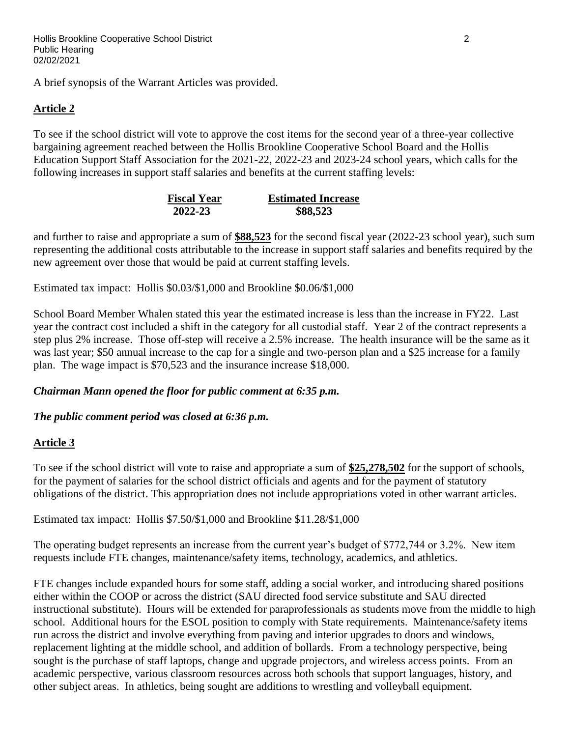A brief synopsis of the Warrant Articles was provided.

## **Article 2**

To see if the school district will vote to approve the cost items for the second year of a three-year collective bargaining agreement reached between the Hollis Brookline Cooperative School Board and the Hollis Education Support Staff Association for the 2021-22, 2022-23 and 2023-24 school years, which calls for the following increases in support staff salaries and benefits at the current staffing levels:

| <b>Fiscal Year</b> | <b>Estimated Increase</b> |
|--------------------|---------------------------|
| 2022-23            | \$88,523                  |

and further to raise and appropriate a sum of **\$88,523** for the second fiscal year (2022-23 school year), such sum representing the additional costs attributable to the increase in support staff salaries and benefits required by the new agreement over those that would be paid at current staffing levels.

Estimated tax impact: Hollis \$0.03/\$1,000 and Brookline \$0.06/\$1,000

School Board Member Whalen stated this year the estimated increase is less than the increase in FY22. Last year the contract cost included a shift in the category for all custodial staff. Year 2 of the contract represents a step plus 2% increase. Those off-step will receive a 2.5% increase. The health insurance will be the same as it was last year; \$50 annual increase to the cap for a single and two-person plan and a \$25 increase for a family plan. The wage impact is \$70,523 and the insurance increase \$18,000.

## *Chairman Mann opened the floor for public comment at 6:35 p.m.*

## *The public comment period was closed at 6:36 p.m.*

## **Article 3**

To see if the school district will vote to raise and appropriate a sum of **\$25,278,502** for the support of schools, for the payment of salaries for the school district officials and agents and for the payment of statutory obligations of the district. This appropriation does not include appropriations voted in other warrant articles.

Estimated tax impact: Hollis \$7.50/\$1,000 and Brookline \$11.28/\$1,000

The operating budget represents an increase from the current year's budget of \$772,744 or 3.2%. New item requests include FTE changes, maintenance/safety items, technology, academics, and athletics.

FTE changes include expanded hours for some staff, adding a social worker, and introducing shared positions either within the COOP or across the district (SAU directed food service substitute and SAU directed instructional substitute). Hours will be extended for paraprofessionals as students move from the middle to high school. Additional hours for the ESOL position to comply with State requirements. Maintenance/safety items run across the district and involve everything from paving and interior upgrades to doors and windows, replacement lighting at the middle school, and addition of bollards. From a technology perspective, being sought is the purchase of staff laptops, change and upgrade projectors, and wireless access points. From an academic perspective, various classroom resources across both schools that support languages, history, and other subject areas. In athletics, being sought are additions to wrestling and volleyball equipment.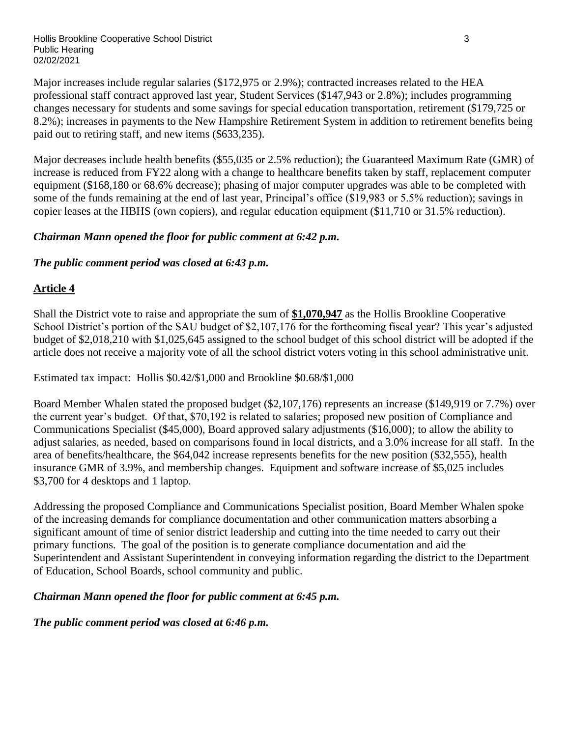Hollis Brookline Cooperative School District 3 Public Hearing 02/02/2021

Major increases include regular salaries (\$172,975 or 2.9%); contracted increases related to the HEA professional staff contract approved last year, Student Services (\$147,943 or 2.8%); includes programming changes necessary for students and some savings for special education transportation, retirement (\$179,725 or 8.2%); increases in payments to the New Hampshire Retirement System in addition to retirement benefits being paid out to retiring staff, and new items (\$633,235).

Major decreases include health benefits (\$55,035 or 2.5% reduction); the Guaranteed Maximum Rate (GMR) of increase is reduced from FY22 along with a change to healthcare benefits taken by staff, replacement computer equipment (\$168,180 or 68.6% decrease); phasing of major computer upgrades was able to be completed with some of the funds remaining at the end of last year, Principal's office (\$19,983 or 5.5% reduction); savings in copier leases at the HBHS (own copiers), and regular education equipment (\$11,710 or 31.5% reduction).

## *Chairman Mann opened the floor for public comment at 6:42 p.m.*

## *The public comment period was closed at 6:43 p.m.*

## **Article 4**

Shall the District vote to raise and appropriate the sum of **\$1,070,947** as the Hollis Brookline Cooperative School District's portion of the SAU budget of \$2,107,176 for the forthcoming fiscal year? This year's adjusted budget of \$2,018,210 with \$1,025,645 assigned to the school budget of this school district will be adopted if the article does not receive a majority vote of all the school district voters voting in this school administrative unit.

Estimated tax impact: Hollis \$0.42/\$1,000 and Brookline \$0.68/\$1,000

Board Member Whalen stated the proposed budget (\$2,107,176) represents an increase (\$149,919 or 7.7%) over the current year's budget. Of that, \$70,192 is related to salaries; proposed new position of Compliance and Communications Specialist (\$45,000), Board approved salary adjustments (\$16,000); to allow the ability to adjust salaries, as needed, based on comparisons found in local districts, and a 3.0% increase for all staff. In the area of benefits/healthcare, the \$64,042 increase represents benefits for the new position (\$32,555), health insurance GMR of 3.9%, and membership changes. Equipment and software increase of \$5,025 includes \$3,700 for 4 desktops and 1 laptop.

Addressing the proposed Compliance and Communications Specialist position, Board Member Whalen spoke of the increasing demands for compliance documentation and other communication matters absorbing a significant amount of time of senior district leadership and cutting into the time needed to carry out their primary functions. The goal of the position is to generate compliance documentation and aid the Superintendent and Assistant Superintendent in conveying information regarding the district to the Department of Education, School Boards, school community and public.

## *Chairman Mann opened the floor for public comment at 6:45 p.m.*

*The public comment period was closed at 6:46 p.m.*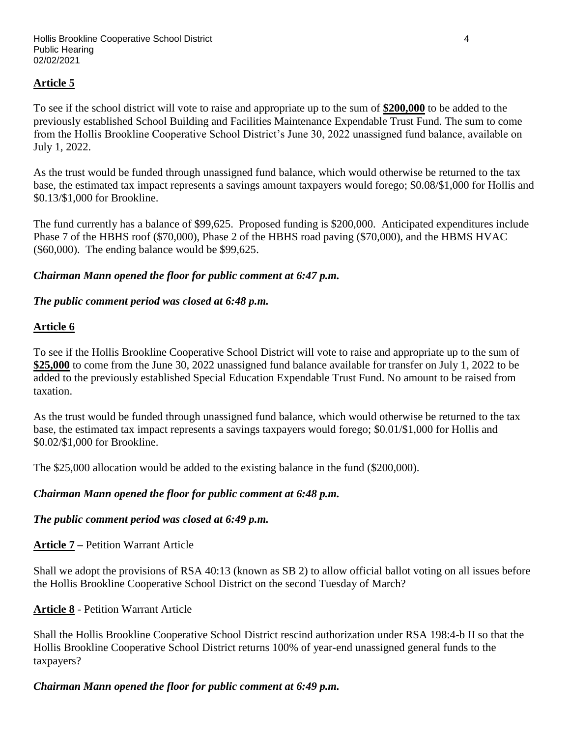## **Article 5**

To see if the school district will vote to raise and appropriate up to the sum of **\$200,000** to be added to the previously established School Building and Facilities Maintenance Expendable Trust Fund. The sum to come from the Hollis Brookline Cooperative School District's June 30, 2022 unassigned fund balance, available on July 1, 2022.

As the trust would be funded through unassigned fund balance, which would otherwise be returned to the tax base, the estimated tax impact represents a savings amount taxpayers would forego; \$0.08/\$1,000 for Hollis and \$0.13/\$1,000 for Brookline.

The fund currently has a balance of \$99,625. Proposed funding is \$200,000. Anticipated expenditures include Phase 7 of the HBHS roof (\$70,000), Phase 2 of the HBHS road paving (\$70,000), and the HBMS HVAC (\$60,000). The ending balance would be \$99,625.

#### *Chairman Mann opened the floor for public comment at 6:47 p.m.*

#### *The public comment period was closed at 6:48 p.m.*

#### **Article 6**

To see if the Hollis Brookline Cooperative School District will vote to raise and appropriate up to the sum of **\$25,000** to come from the June 30, 2022 unassigned fund balance available for transfer on July 1, 2022 to be added to the previously established Special Education Expendable Trust Fund. No amount to be raised from taxation.

As the trust would be funded through unassigned fund balance, which would otherwise be returned to the tax base, the estimated tax impact represents a savings taxpayers would forego; \$0.01/\$1,000 for Hollis and \$0.02/\$1,000 for Brookline.

The \$25,000 allocation would be added to the existing balance in the fund (\$200,000).

#### *Chairman Mann opened the floor for public comment at 6:48 p.m.*

#### *The public comment period was closed at 6:49 p.m.*

**Article 7 –** Petition Warrant Article

Shall we adopt the provisions of RSA 40:13 (known as SB 2) to allow official ballot voting on all issues before the Hollis Brookline Cooperative School District on the second Tuesday of March?

#### **Article 8** - Petition Warrant Article

Shall the Hollis Brookline Cooperative School District rescind authorization under RSA 198:4-b II so that the Hollis Brookline Cooperative School District returns 100% of year-end unassigned general funds to the taxpayers?

## *Chairman Mann opened the floor for public comment at 6:49 p.m.*